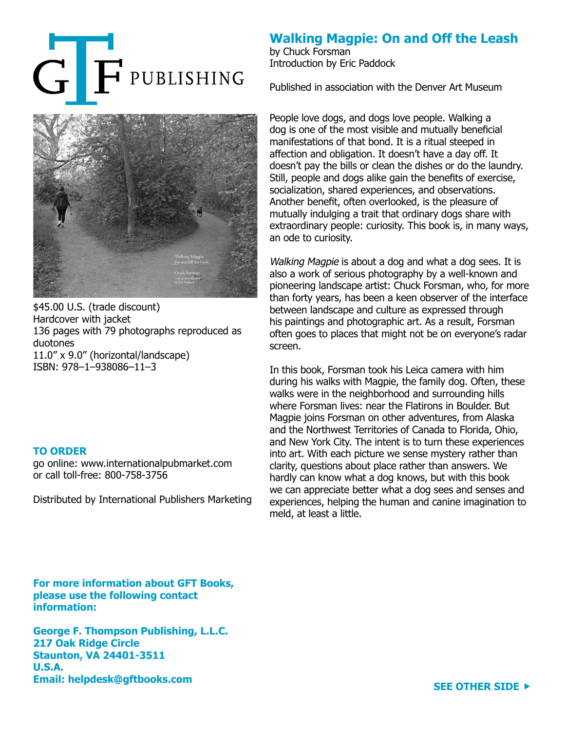

## **Walking Magpie: On and Off the Leash**

by Chuck Forsman Introduction by Eric Paddock

Published in association with the Denver Art Museum



\$45.00 U.S. (trade discount) Hardcover with jacket 136 pages with 79 photographs reproduced as duotones 11.0" x 9.0" (horizontal/landscape) ISBN: 978–1–938086–11–3

## **TO ORDER**

go online: www.internationalpubmarket.com or call toll-free: 800-758-3756

Distributed by International Publishers Marketing

People love dogs, and dogs love people. Walking a dog is one of the most visible and mutually beneficial manifestations of that bond. It is a ritual steeped in affection and obligation. It doesn't have a day off. It doesn't pay the bills or clean the dishes or do the laundry. Still, people and dogs alike gain the benefits of exercise, socialization, shared experiences, and observations. Another benefit, often overlooked, is the pleasure of mutually indulging a trait that ordinary dogs share with extraordinary people: curiosity. This book is, in many ways, an ode to curiosity.

Walking Magpie is about a dog and what a dog sees. It is also a work of serious photography by a well-known and pioneering landscape artist: Chuck Forsman, who, for more than forty years, has been a keen observer of the interface between landscape and culture as expressed through his paintings and photographic art. As a result, Forsman often goes to places that might not be on everyone's radar screen.

In this book, Forsman took his Leica camera with him during his walks with Magpie, the family dog. Often, these walks were in the neighborhood and surrounding hills where Forsman lives: near the Flatirons in Boulder. But Magpie joins Forsman on other adventures, from Alaska and the Northwest Territories of Canada to Florida, Ohio, and New York City. The intent is to turn these experiences into art. With each picture we sense mystery rather than clarity, questions about place rather than answers. We hardly can know what a dog knows, but with this book we can appreciate better what a dog sees and senses and experiences, helping the human and canine imagination to meld, at least a little.

**For more information about GFT Books, please use the following contact information:**

**George F. Thompson Publishing, L.L.C. 217 Oak Ridge Circle Staunton, VA 24401-3511 U.S.A. Email: helpdesk@gftbooks.com**